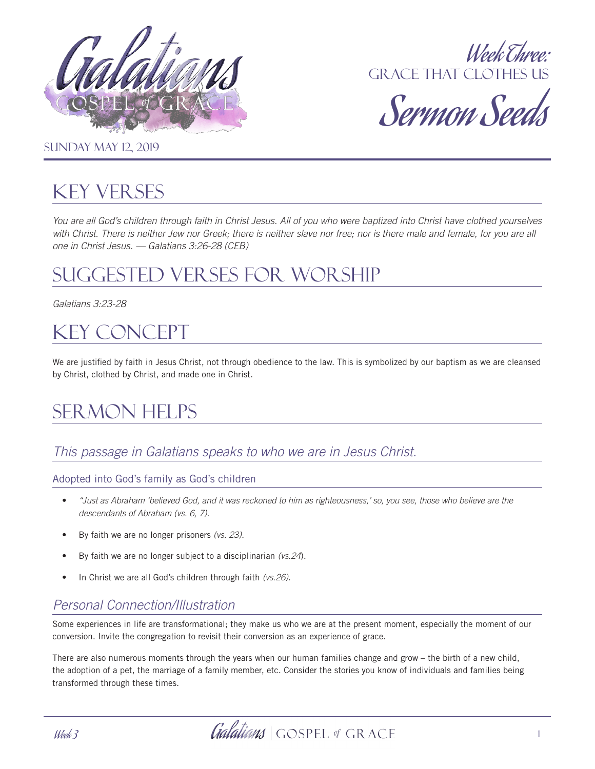



Sermon Seeds

#### **SUNDAY MAY 12, 2019**

## Key Verses

*You are all God's children through faith in Christ Jesus. All of you who were baptized into Christ have clothed yourselves*  with Christ. There is neither Jew nor Greek; there is neither slave nor free; nor is there male and female, for you are all *one in Christ Jesus. — Galatians 3:26-28 (CEB)*

## Suggested Verses for Worship

*Galatians 3:23-28*

## Key Concept

We are justified by faith in Jesus Christ, not through obedience to the law. This is symbolized by our baptism as we are cleansed by Christ, clothed by Christ, and made one in Christ.

# Sermon Helps

## *This passage in Galatians speaks to who we are in Jesus Christ.*

#### Adopted into God's family as God's children

- *"Just as Abraham 'believed God, and it was reckoned to him as righteousness,' so, you see, those who believe are the descendants of Abraham (vs. 6, 7)*.
- By faith we are no longer prisoners *(vs. 23)*.
- By faith we are no longer subject to a disciplinarian *(vs.24*).
- In Christ we are all God's children through faith *(vs.26)*.

## *Personal Connection/Illustration*

Some experiences in life are transformational; they make us who we are at the present moment, especially the moment of our conversion. Invite the congregation to revisit their conversion as an experience of grace.

There are also numerous moments through the years when our human families change and grow – the birth of a new child, the adoption of a pet, the marriage of a family member, etc. Consider the stories you know of individuals and families being transformed through these times.